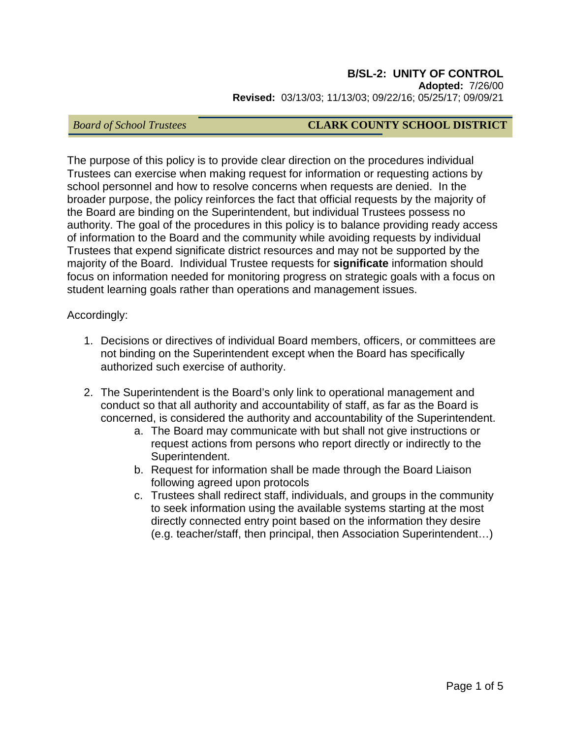#### **B/SL-2: UNITY OF CONTROL Adopted:** 7/26/00 **Revised:** 03/13/03; 11/13/03; 09/22/16; 05/25/17; 09/09/21

## *Board of School Trustees* **CLARK COUNTY SCHOOL DISTRICT**

The purpose of this policy is to provide clear direction on the procedures individual Trustees can exercise when making request for information or requesting actions by school personnel and how to resolve concerns when requests are denied. In the broader purpose, the policy reinforces the fact that official requests by the majority of the Board are binding on the Superintendent, but individual Trustees possess no authority. The goal of the procedures in this policy is to balance providing ready access of information to the Board and the community while avoiding requests by individual Trustees that expend significate district resources and may not be supported by the majority of the Board. Individual Trustee requests for **significate** information should focus on information needed for monitoring progress on strategic goals with a focus on student learning goals rather than operations and management issues.

Accordingly:

- 1. Decisions or directives of individual Board members, officers, or committees are not binding on the Superintendent except when the Board has specifically authorized such exercise of authority.
- 2. The Superintendent is the Board's only link to operational management and conduct so that all authority and accountability of staff, as far as the Board is concerned, is considered the authority and accountability of the Superintendent.
	- a. The Board may communicate with but shall not give instructions or request actions from persons who report directly or indirectly to the Superintendent.
	- b. Request for information shall be made through the Board Liaison following agreed upon protocols
	- c. Trustees shall redirect staff, individuals, and groups in the community to seek information using the available systems starting at the most directly connected entry point based on the information they desire (e.g. teacher/staff, then principal, then Association Superintendent…)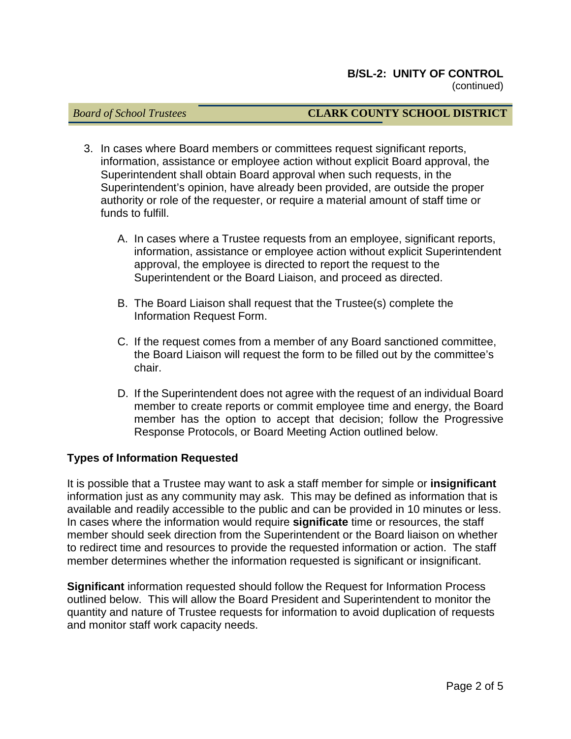#### *Board of School Trustees* **CLARK COUNTY SCHOOL DISTRICT**

- 3. In cases where Board members or committees request significant reports, information, assistance or employee action without explicit Board approval, the Superintendent shall obtain Board approval when such requests, in the Superintendent's opinion, have already been provided, are outside the proper authority or role of the requester, or require a material amount of staff time or funds to fulfill.
	- A. In cases where a Trustee requests from an employee, significant reports, information, assistance or employee action without explicit Superintendent approval, the employee is directed to report the request to the Superintendent or the Board Liaison, and proceed as directed.
	- B. The Board Liaison shall request that the Trustee(s) complete the Information Request Form.
	- C. If the request comes from a member of any Board sanctioned committee, the Board Liaison will request the form to be filled out by the committee's chair.
	- D. If the Superintendent does not agree with the request of an individual Board member to create reports or commit employee time and energy, the Board member has the option to accept that decision; follow the Progressive Response Protocols, or Board Meeting Action outlined below.

#### **Types of Information Requested**

It is possible that a Trustee may want to ask a staff member for simple or **insignificant**  information just as any community may ask. This may be defined as information that is available and readily accessible to the public and can be provided in 10 minutes or less. In cases where the information would require **significate** time or resources, the staff member should seek direction from the Superintendent or the Board liaison on whether to redirect time and resources to provide the requested information or action. The staff member determines whether the information requested is significant or insignificant.

**Significant** information requested should follow the Request for Information Process outlined below. This will allow the Board President and Superintendent to monitor the quantity and nature of Trustee requests for information to avoid duplication of requests and monitor staff work capacity needs.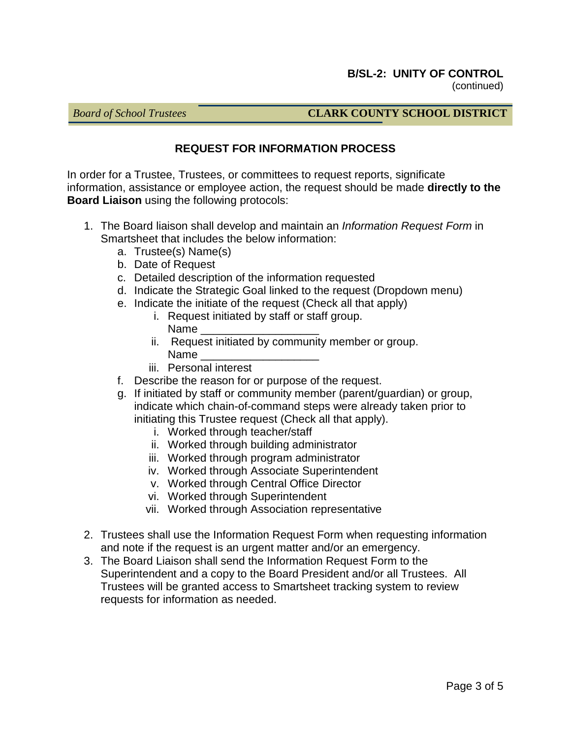## *Board of School Trustees* **CLARK COUNTY SCHOOL DISTRICT**

## **REQUEST FOR INFORMATION PROCESS**

In order for a Trustee, Trustees, or committees to request reports, significate information, assistance or employee action, the request should be made **directly to the Board Liaison** using the following protocols:

- 1. The Board liaison shall develop and maintain an *Information Request Form* in Smartsheet that includes the below information:
	- a. Trustee(s) Name(s)
	- b. Date of Request
	- c. Detailed description of the information requested
	- d. Indicate the Strategic Goal linked to the request (Dropdown menu)
	- e. Indicate the initiate of the request (Check all that apply)
		- i. Request initiated by staff or staff group. Name
		- ii. Request initiated by community member or group. Name
		- iii. Personal interest
	- f. Describe the reason for or purpose of the request.
	- g. If initiated by staff or community member (parent/guardian) or group, indicate which chain-of-command steps were already taken prior to initiating this Trustee request (Check all that apply).
		- i. Worked through teacher/staff
		- ii. Worked through building administrator
		- iii. Worked through program administrator
		- iv. Worked through Associate Superintendent
		- v. Worked through Central Office Director
		- vi. Worked through Superintendent
		- vii. Worked through Association representative
- 2. Trustees shall use the Information Request Form when requesting information and note if the request is an urgent matter and/or an emergency.
- 3. The Board Liaison shall send the Information Request Form to the Superintendent and a copy to the Board President and/or all Trustees. All Trustees will be granted access to Smartsheet tracking system to review requests for information as needed.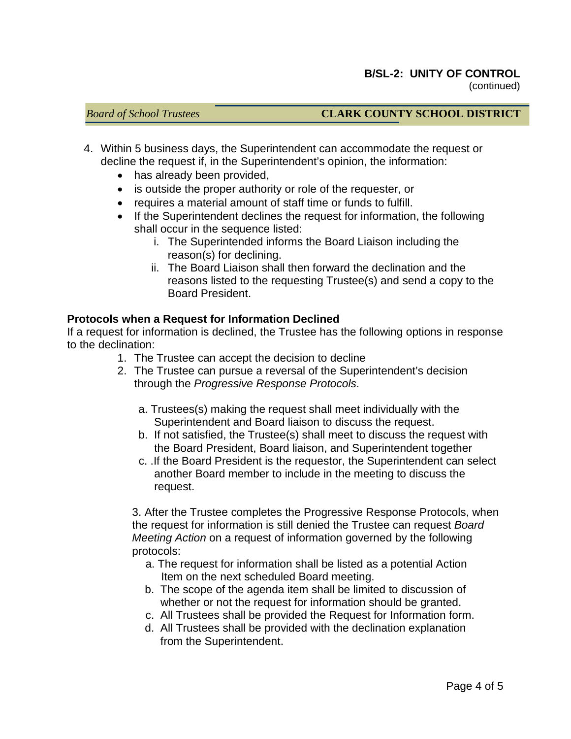## *Board of School Trustees* **CLARK COUNTY SCHOOL DISTRICT**

- 4. Within 5 business days, the Superintendent can accommodate the request or decline the request if, in the Superintendent's opinion, the information:
	- has already been provided,
	- is outside the proper authority or role of the requester, or
	- requires a material amount of staff time or funds to fulfill.
	- If the Superintendent declines the request for information, the following shall occur in the sequence listed:
		- i. The Superintended informs the Board Liaison including the reason(s) for declining.
		- ii. The Board Liaison shall then forward the declination and the reasons listed to the requesting Trustee(s) and send a copy to the Board President.

#### **Protocols when a Request for Information Declined**

If a request for information is declined, the Trustee has the following options in response to the declination:

- 1. The Trustee can accept the decision to decline
- 2. The Trustee can pursue a reversal of the Superintendent's decision through the *Progressive Response Protocols*.
	- a. Trustees(s) making the request shall meet individually with the Superintendent and Board liaison to discuss the request.
	- b. If not satisfied, the Trustee(s) shall meet to discuss the request with the Board President, Board liaison, and Superintendent together
	- c. .If the Board President is the requestor, the Superintendent can select another Board member to include in the meeting to discuss the request.

3. After the Trustee completes the Progressive Response Protocols, when the request for information is still denied the Trustee can request *Board Meeting Action* on a request of information governed by the following protocols:

- a. The request for information shall be listed as a potential Action Item on the next scheduled Board meeting.
- b. The scope of the agenda item shall be limited to discussion of whether or not the request for information should be granted.
- c. All Trustees shall be provided the Request for Information form.
- d. All Trustees shall be provided with the declination explanation from the Superintendent.